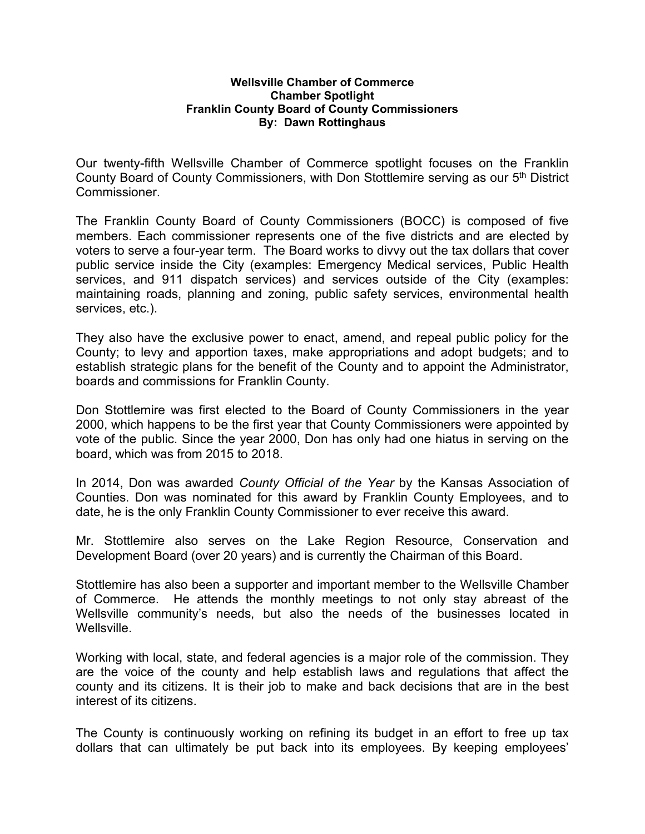## **Wellsville Chamber of Commerce Chamber Spotlight Franklin County Board of County Commissioners By: Dawn Rottinghaus**

Our twenty-fifth Wellsville Chamber of Commerce spotlight focuses on the Franklin County Board of County Commissioners, with Don Stottlemire serving as our 5th District Commissioner.

The Franklin County Board of County Commissioners (BOCC) is composed of five members. Each commissioner represents one of the five districts and are elected by voters to serve a four-year term. The Board works to divvy out the tax dollars that cover public service inside the City (examples: Emergency Medical services, Public Health services, and 911 dispatch services) and services outside of the City (examples: maintaining roads, planning and zoning, public safety services, environmental health services, etc.).

They also have the exclusive power to enact, amend, and repeal public policy for the County; to levy and apportion taxes, make appropriations and adopt budgets; and to establish strategic plans for the benefit of the County and to appoint the [Administrator,](https://www.franklincoks.org/118/Administration) [boards and commissions](https://www.franklincoks.org/115/Boards-Commissions) for Franklin County.

Don Stottlemire was first elected to the Board of County Commissioners in the year 2000, which happens to be the first year that County Commissioners were appointed by vote of the public. Since the year 2000, Don has only had one hiatus in serving on the board, which was from 2015 to 2018.

In 2014, Don was awarded *County Official of the Year* by the Kansas Association of Counties. Don was nominated for this award by Franklin County Employees, and to date, he is the only Franklin County Commissioner to ever receive this award.

Mr. Stottlemire also serves on the Lake Region Resource, Conservation and Development Board (over 20 years) and is currently the Chairman of this Board.

Stottlemire has also been a supporter and important member to the Wellsville Chamber of Commerce. He attends the monthly meetings to not only stay abreast of the Wellsville community's needs, but also the needs of the businesses located in Wellsville.

Working with local, state, and federal agencies is a major role of the commission. They are the voice of the county and help establish laws and regulations that affect the county and its citizens. It is their job to make and back decisions that are in the best interest of its citizens.

The County is continuously working on refining its budget in an effort to free up tax dollars that can ultimately be put back into its employees. By keeping employees'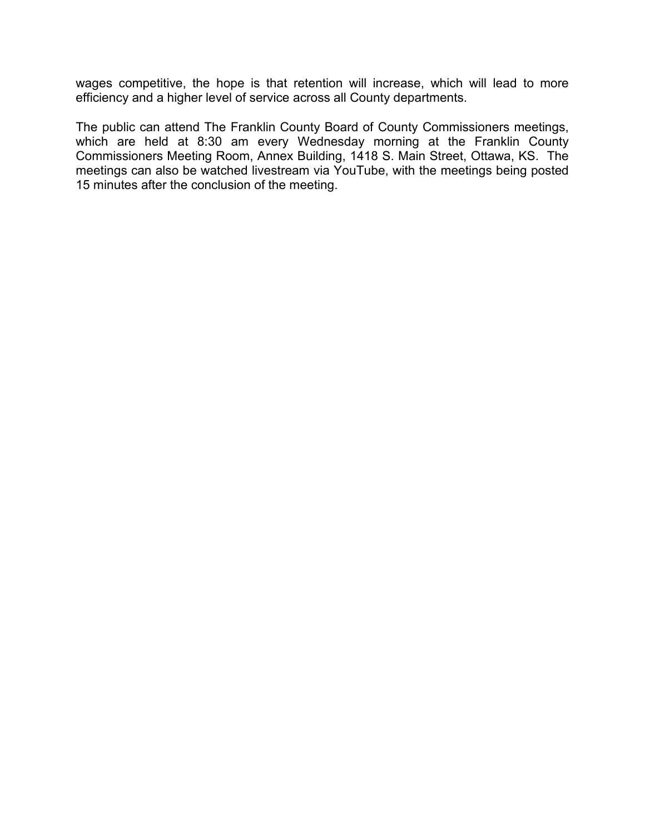wages competitive, the hope is that retention will increase, which will lead to more efficiency and a higher level of service across all County departments.

The public can attend The Franklin County Board of County Commissioners meetings, which are held at 8:30 am every Wednesday morning at the Franklin County Commissioners Meeting Room, Annex Building, 1418 S. Main Street, Ottawa, KS. The meetings can also be watched livestream via YouTube, with the meetings being posted 15 minutes after the conclusion of the meeting.